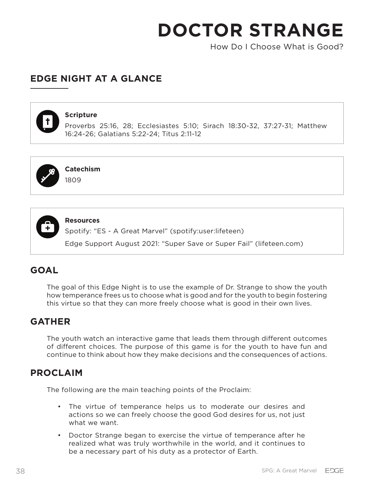How Do I Choose What is Good?

# **EDGE NIGHT AT A GLANCE**



#### **Scripture**

Proverbs 25:16, 28; Ecclesiastes 5:10; Sirach 18:30-32, 37:27-31; Matthew 16:24-26; Galatians 5:22-24; Titus 2:11-12



**Catechism**

1809



**Resources**

Spotify: "ES - A Great Marvel" (spotify:user:lifeteen)

Edge Support August 2021: "Super Save or Super Fail" (lifeteen.com)

# **GOAL**

The goal of this Edge Night is to use the example of Dr. Strange to show the youth how temperance frees us to choose what is good and for the youth to begin fostering this virtue so that they can more freely choose what is good in their own lives.

## **GATHER**

The youth watch an interactive game that leads them through different outcomes of different choices. The purpose of this game is for the youth to have fun and continue to think about how they make decisions and the consequences of actions.

## **PROCLAIM**

The following are the main teaching points of the Proclaim:

- The virtue of temperance helps us to moderate our desires and actions so we can freely choose the good God desires for us, not just what we want.
- Doctor Strange began to exercise the virtue of temperance after he realized what was truly worthwhile in the world, and it continues to be a necessary part of his duty as a protector of Earth.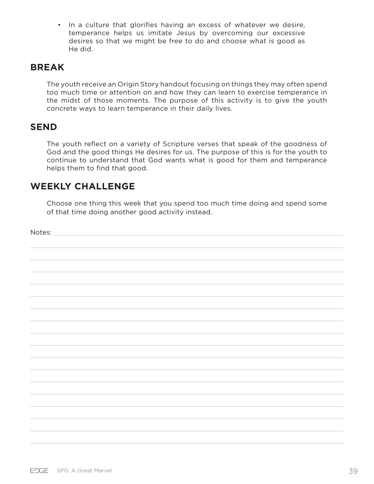• In a culture that glorifies having an excess of whatever we desire, temperance helps us imitate Jesus by overcoming our excessive desires so that we might be free to do and choose what is good as He did.

## **BREAK**

The youth receive an Origin Story handout focusing on things they may often spend too much time or attention on and how they can learn to exercise temperance in the midst of those moments. The purpose of this activity is to give the youth concrete ways to learn temperance in their daily lives.

### **SEND**

The youth reflect on a variety of Scripture verses that speak of the goodness of God and the good things He desires for us. The purpose of this is for the youth to continue to understand that God wants what is good for them and temperance helps them to find that good.

# **WEEKLY CHALLENGE**

Choose one thing this week that you spend too much time doing and spend some of that time doing another good activity instead.

Notes: \_\_\_\_\_\_\_\_\_\_\_\_\_\_\_\_\_\_\_\_\_\_\_\_\_\_\_\_\_\_\_\_\_\_\_\_\_\_\_\_\_\_\_\_\_\_\_\_\_\_\_\_\_\_\_\_\_\_\_\_\_\_\_\_\_\_\_\_\_\_\_\_\_\_\_\_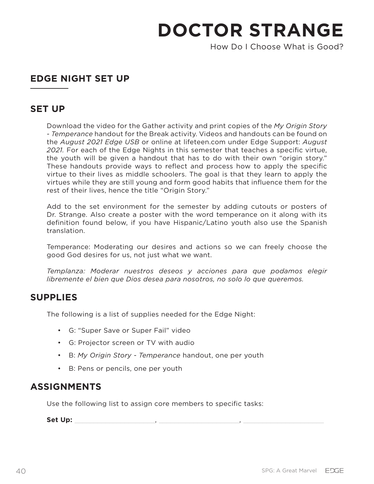How Do I Choose What is Good?

# **EDGE NIGHT SET UP**

## **SET UP**

Download the video for the Gather activity and print copies of the *My Origin Story - Temperance* handout for the Break activity. Videos and handouts can be found on the *August 2021 Edge USB* or online at lifeteen.com under Edge Support: *August 2021.* For each of the Edge Nights in this semester that teaches a specific virtue, the youth will be given a handout that has to do with their own "origin story." These handouts provide ways to reflect and process how to apply the specific virtue to their lives as middle schoolers. The goal is that they learn to apply the virtues while they are still young and form good habits that influence them for the rest of their lives, hence the title "Origin Story."

Add to the set environment for the semester by adding cutouts or posters of Dr. Strange. Also create a poster with the word temperance on it along with its definition found below, if you have Hispanic/Latino youth also use the Spanish translation.

Temperance: Moderating our desires and actions so we can freely choose the good God desires for us, not just what we want.

*Templanza: Moderar nuestros deseos y acciones para que podamos elegir libremente el bien que Dios desea para nosotros, no solo lo que queremos.* 

### **SUPPLIES**

The following is a list of supplies needed for the Edge Night:

- G: "Super Save or Super Fail" video
- G: Projector screen or TV with audio
- B: *My Origin Story Temperance* handout, one per youth
- B: Pens or pencils, one per youth

## **ASSIGNMENTS**

Use the following list to assign core members to specific tasks:

Set Up: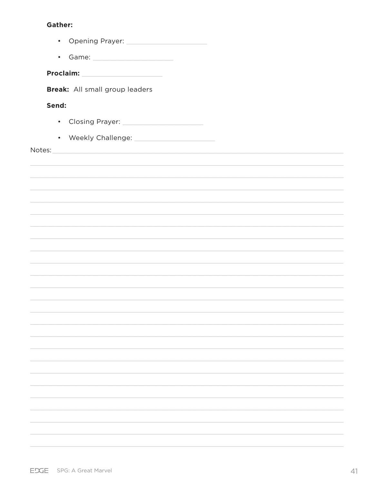#### **Gather:**

| • Opening Prayer: 2000 2000 2011 2022 2023 2024 2025 2026 2027 2028 2029 2021 2022 2023 2024 2025 2026 2027 20                                                                                                                |
|-------------------------------------------------------------------------------------------------------------------------------------------------------------------------------------------------------------------------------|
| • Game: 1999 - Game: 1999 - 1999 - 1999 - 1999 - 1999 - 1999 - 1999 - 1999 - 1999 - 1999 - 1999 - 1999 - 1999 - 1999 - 1999 - 1999 - 1999 - 1999 - 1999 - 1999 - 1999 - 1999 - 1999 - 1999 - 1999 - 1999 - 1999 - 1999 - 1999 |
| Proclaim: ________________________                                                                                                                                                                                            |
| Break: All small group leaders                                                                                                                                                                                                |
|                                                                                                                                                                                                                               |
| Send:                                                                                                                                                                                                                         |
| • Closing Prayer: 2008 2014 2022 2023 2024 2022 2023 2024 2022 2023 2024 2022 2023 2024 2025 2026 20                                                                                                                          |
| • Weekly Challenge: <u>[1988]</u>                                                                                                                                                                                             |
| Notes:                                                                                                                                                                                                                        |
|                                                                                                                                                                                                                               |
|                                                                                                                                                                                                                               |
|                                                                                                                                                                                                                               |
|                                                                                                                                                                                                                               |
|                                                                                                                                                                                                                               |
|                                                                                                                                                                                                                               |
|                                                                                                                                                                                                                               |
|                                                                                                                                                                                                                               |
|                                                                                                                                                                                                                               |
|                                                                                                                                                                                                                               |
|                                                                                                                                                                                                                               |
|                                                                                                                                                                                                                               |
|                                                                                                                                                                                                                               |
|                                                                                                                                                                                                                               |
|                                                                                                                                                                                                                               |
|                                                                                                                                                                                                                               |
|                                                                                                                                                                                                                               |
|                                                                                                                                                                                                                               |
|                                                                                                                                                                                                                               |
|                                                                                                                                                                                                                               |
|                                                                                                                                                                                                                               |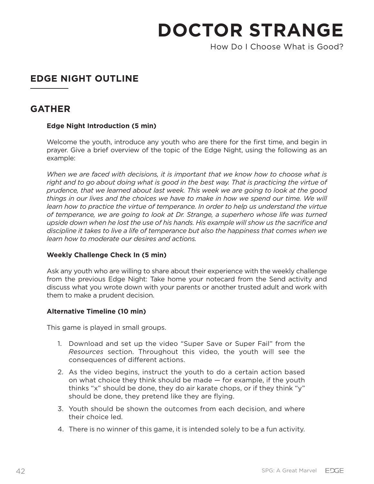How Do I Choose What is Good?

# **EDGE NIGHT OUTLINE**

# **GATHER**

#### **Edge Night Introduction (5 min)**

Welcome the youth, introduce any youth who are there for the first time, and begin in prayer. Give a brief overview of the topic of the Edge Night, using the following as an example:

*When we are faced with decisions, it is important that we know how to choose what is right and to go about doing what is good in the best way. That is practicing the virtue of prudence, that we learned about last week. This week we are going to look at the good things in our lives and the choices we have to make in how we spend our time. We will learn how to practice the virtue of temperance. In order to help us understand the virtue of temperance, we are going to look at Dr. Strange, a superhero whose life was turned upside down when he lost the use of his hands. His example will show us the sacrifice and discipline it takes to live a life of temperance but also the happiness that comes when we learn how to moderate our desires and actions.* 

#### **Weekly Challenge Check In (5 min)**

Ask any youth who are willing to share about their experience with the weekly challenge from the previous Edge Night: Take home your notecard from the Send activity and discuss what you wrote down with your parents or another trusted adult and work with them to make a prudent decision.

#### **Alternative Timeline (10 min)**

This game is played in small groups.

- 1. Download and set up the video "Super Save or Super Fail" from the *Resources* section. Throughout this video, the youth will see the consequences of different actions.
- 2. As the video begins, instruct the youth to do a certain action based on what choice they think should be made — for example, if the youth thinks "x" should be done, they do air karate chops, or if they think "y" should be done, they pretend like they are flying.
- 3. Youth should be shown the outcomes from each decision, and where their choice led.
- 4. There is no winner of this game, it is intended solely to be a fun activity.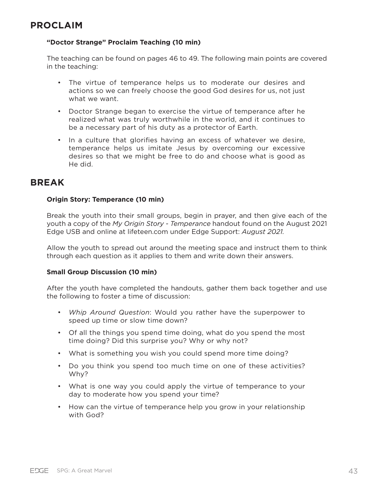#### **"Doctor Strange" Proclaim Teaching (10 min)**

The teaching can be found on pages 46 to 49. The following main points are covered in the teaching:

- The virtue of temperance helps us to moderate our desires and actions so we can freely choose the good God desires for us, not just what we want.
- Doctor Strange began to exercise the virtue of temperance after he realized what was truly worthwhile in the world, and it continues to be a necessary part of his duty as a protector of Earth.
- In a culture that glorifies having an excess of whatever we desire, temperance helps us imitate Jesus by overcoming our excessive desires so that we might be free to do and choose what is good as He did.

### **BREAK**

#### **Origin Story: Temperance (10 min)**

Break the youth into their small groups, begin in prayer, and then give each of the youth a copy of the *My Origin Story - Temperance* handout found on the August 2021 Edge USB and online at lifeteen.com under Edge Support: *August 2021.* 

Allow the youth to spread out around the meeting space and instruct them to think through each question as it applies to them and write down their answers.

#### **Small Group Discussion (10 min)**

After the youth have completed the handouts, gather them back together and use the following to foster a time of discussion:

- *Whip Around Question*: Would you rather have the superpower to speed up time or slow time down?
- Of all the things you spend time doing, what do you spend the most time doing? Did this surprise you? Why or why not?
- What is something you wish you could spend more time doing?
- Do you think you spend too much time on one of these activities? Why?
- What is one way you could apply the virtue of temperance to your day to moderate how you spend your time?
- How can the virtue of temperance help you grow in your relationship with God?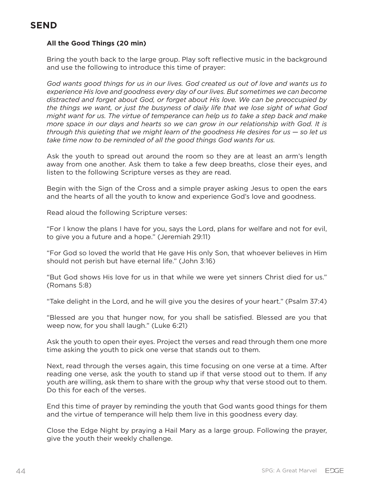# **SEND**

#### **All the Good Things (20 min)**

Bring the youth back to the large group. Play soft reflective music in the background and use the following to introduce this time of prayer:

*God wants good things for us in our lives. God created us out of love and wants us to experience His love and goodness every day of our lives. But sometimes we can become distracted and forget about God, or forget about His love. We can be preoccupied by the things we want, or just the busyness of daily life that we lose sight of what God might want for us. The virtue of temperance can help us to take a step back and make more space in our days and hearts so we can grow in our relationship with God. It is through this quieting that we might learn of the goodness He desires for us — so let us take time now to be reminded of all the good things God wants for us.*

Ask the youth to spread out around the room so they are at least an arm's length away from one another. Ask them to take a few deep breaths, close their eyes, and listen to the following Scripture verses as they are read.

Begin with the Sign of the Cross and a simple prayer asking Jesus to open the ears and the hearts of all the youth to know and experience God's love and goodness.

Read aloud the following Scripture verses:

"For I know the plans I have for you, says the Lord, plans for welfare and not for evil, to give you a future and a hope." (Jeremiah 29:11)

"For God so loved the world that He gave His only Son, that whoever believes in Him should not perish but have eternal life." (John 3:16)

"But God shows His love for us in that while we were yet sinners Christ died for us." (Romans 5:8)

"Take delight in the Lord, and he will give you the desires of your heart." (Psalm 37:4)

"Blessed are you that hunger now, for you shall be satisfied. Blessed are you that weep now, for you shall laugh." (Luke 6:21)

Ask the youth to open their eyes. Project the verses and read through them one more time asking the youth to pick one verse that stands out to them.

Next, read through the verses again, this time focusing on one verse at a time. After reading one verse, ask the youth to stand up if that verse stood out to them. If any youth are willing, ask them to share with the group why that verse stood out to them. Do this for each of the verses.

End this time of prayer by reminding the youth that God wants good things for them and the virtue of temperance will help them live in this goodness every day.

Close the Edge Night by praying a Hail Mary as a large group. Following the prayer, give the youth their weekly challenge.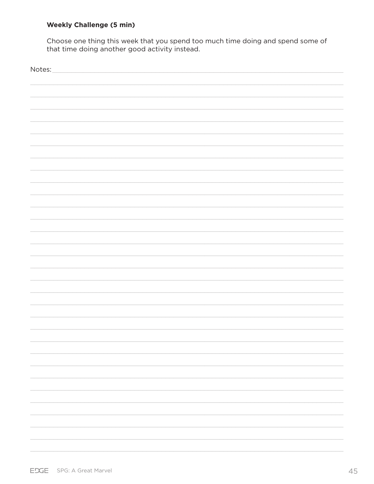#### **Weekly Challenge (5 min)**

Choose one thing this week that you spend too much time doing and spend some of that time doing another good activity instead.

| Notes: |
|--------|
|        |
|        |
|        |
|        |
|        |
|        |
|        |
|        |
|        |
|        |
|        |
|        |
|        |
|        |
|        |
|        |
|        |
|        |
|        |
|        |
|        |
|        |
|        |
|        |
|        |
|        |
|        |
|        |
|        |
|        |
|        |
|        |
|        |
|        |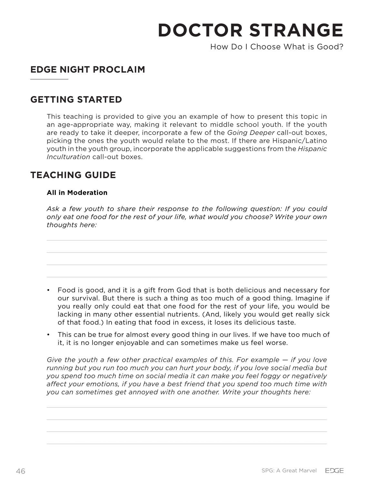How Do I Choose What is Good?

# **EDGE NIGHT PROCLAIM**

# **GETTING STARTED**

This teaching is provided to give you an example of how to present this topic in an age-appropriate way, making it relevant to middle school youth. If the youth are ready to take it deeper, incorporate a few of the *Going Deeper* call-out boxes, picking the ones the youth would relate to the most. If there are Hispanic/Latino youth in the youth group, incorporate the applicable suggestions from the *Hispanic Inculturation* call-out boxes.

# **TEACHING GUIDE**

#### **All in Moderation**

*Ask a few youth to share their response to the following question: If you could only eat one food for the rest of your life, what would you choose? Write your own thoughts here:*

- Food is good, and it is a gift from God that is both delicious and necessary for our survival. But there is such a thing as too much of a good thing. Imagine if you really only could eat that one food for the rest of your life, you would be lacking in many other essential nutrients. (And, likely you would get really sick of that food.) In eating that food in excess, it loses its delicious taste.
- This can be true for almost every good thing in our lives. If we have too much of it, it is no longer enjoyable and can sometimes make us feel worse.

*Give the youth a few other practical examples of this. For example — if you love running but you run too much you can hurt your body, if you love social media but you spend too much time on social media it can make you feel foggy or negatively affect your emotions, if you have a best friend that you spend too much time with you can sometimes get annoyed with one another. Write your thoughts here:*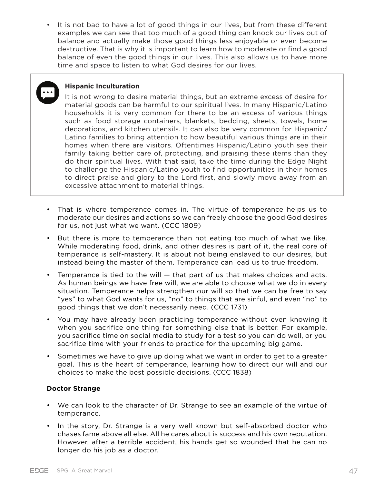• It is not bad to have a lot of good things in our lives, but from these different examples we can see that too much of a good thing can knock our lives out of balance and actually make those good things less enjoyable or even become destructive. That is why it is important to learn how to moderate or find a good balance of even the good things in our lives. This also allows us to have more time and space to listen to what God desires for our lives.



#### **Hispanic Inculturation**

It is not wrong to desire material things, but an extreme excess of desire for material goods can be harmful to our spiritual lives. In many Hispanic/Latino households it is very common for there to be an excess of various things such as food storage containers, blankets, bedding, sheets, towels, home decorations, and kitchen utensils. It can also be very common for Hispanic/ Latino families to bring attention to how beautiful various things are in their homes when there are visitors. Oftentimes Hispanic/Latino youth see their family taking better care of, protecting, and praising these items than they do their spiritual lives. With that said, take the time during the Edge Night to challenge the Hispanic/Latino youth to find opportunities in their homes to direct praise and glory to the Lord first, and slowly move away from an excessive attachment to material things.

- That is where temperance comes in. The virtue of temperance helps us to moderate our desires and actions so we can freely choose the good God desires for us, not just what we want. (CCC 1809)
- But there is more to temperance than not eating too much of what we like. While moderating food, drink, and other desires is part of it, the real core of temperance is self-mastery. It is about not being enslaved to our desires, but instead being the master of them. Temperance can lead us to true freedom.
- Temperance is tied to the will that part of us that makes choices and acts. As human beings we have free will, we are able to choose what we do in every situation. Temperance helps strengthen our will so that we can be free to say "yes" to what God wants for us, "no" to things that are sinful, and even "no" to good things that we don't necessarily need. (CCC 1731)
- You may have already been practicing temperance without even knowing it when you sacrifice one thing for something else that is better. For example, you sacrifice time on social media to study for a test so you can do well, or you sacrifice time with your friends to practice for the upcoming big game.
- Sometimes we have to give up doing what we want in order to get to a greater goal. This is the heart of temperance, learning how to direct our will and our choices to make the best possible decisions. (CCC 1838)

#### **Doctor Strange**

- We can look to the character of Dr. Strange to see an example of the virtue of temperance.
- In the story, Dr. Strange is a very well known but self-absorbed doctor who chases fame above all else. All he cares about is success and his own reputation. However, after a terrible accident, his hands get so wounded that he can no longer do his job as a doctor.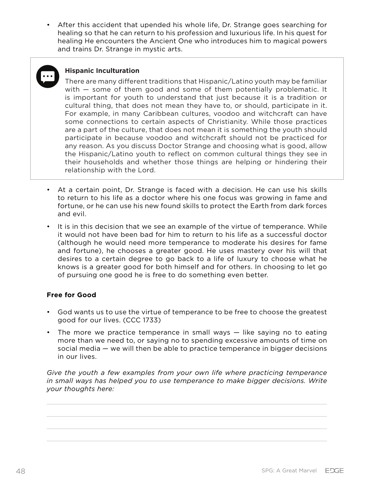• After this accident that upended his whole life, Dr. Strange goes searching for healing so that he can return to his profession and luxurious life. In his quest for healing He encounters the Ancient One who introduces him to magical powers and trains Dr. Strange in mystic arts.



#### **Hispanic Inculturation**

There are many different traditions that Hispanic/Latino youth may be familiar with – some of them good and some of them potentially problematic. It is important for youth to understand that just because it is a tradition or cultural thing, that does not mean they have to, or should, participate in it. For example, in many Caribbean cultures, voodoo and witchcraft can have some connections to certain aspects of Christianity. While those practices are a part of the culture, that does not mean it is something the youth should participate in because voodoo and witchcraft should not be practiced for any reason. As you discuss Doctor Strange and choosing what is good, allow the Hispanic/Latino youth to reflect on common cultural things they see in their households and whether those things are helping or hindering their relationship with the Lord.

- At a certain point, Dr. Strange is faced with a decision. He can use his skills to return to his life as a doctor where his one focus was growing in fame and fortune, or he can use his new found skills to protect the Earth from dark forces and evil.
- It is in this decision that we see an example of the virtue of temperance. While it would not have been bad for him to return to his life as a successful doctor (although he would need more temperance to moderate his desires for fame and fortune), he chooses a greater good. He uses mastery over his will that desires to a certain degree to go back to a life of luxury to choose what he knows is a greater good for both himself and for others. In choosing to let go of pursuing one good he is free to do something even better.

#### **Free for Good**

- God wants us to use the virtue of temperance to be free to choose the greatest good for our lives. (CCC 1733)
- The more we practice temperance in small ways like saying no to eating more than we need to, or saying no to spending excessive amounts of time on social media — we will then be able to practice temperance in bigger decisions in our lives.

*Give the youth a few examples from your own life where practicing temperance in small ways has helped you to use temperance to make bigger decisions. Write your thoughts here:*